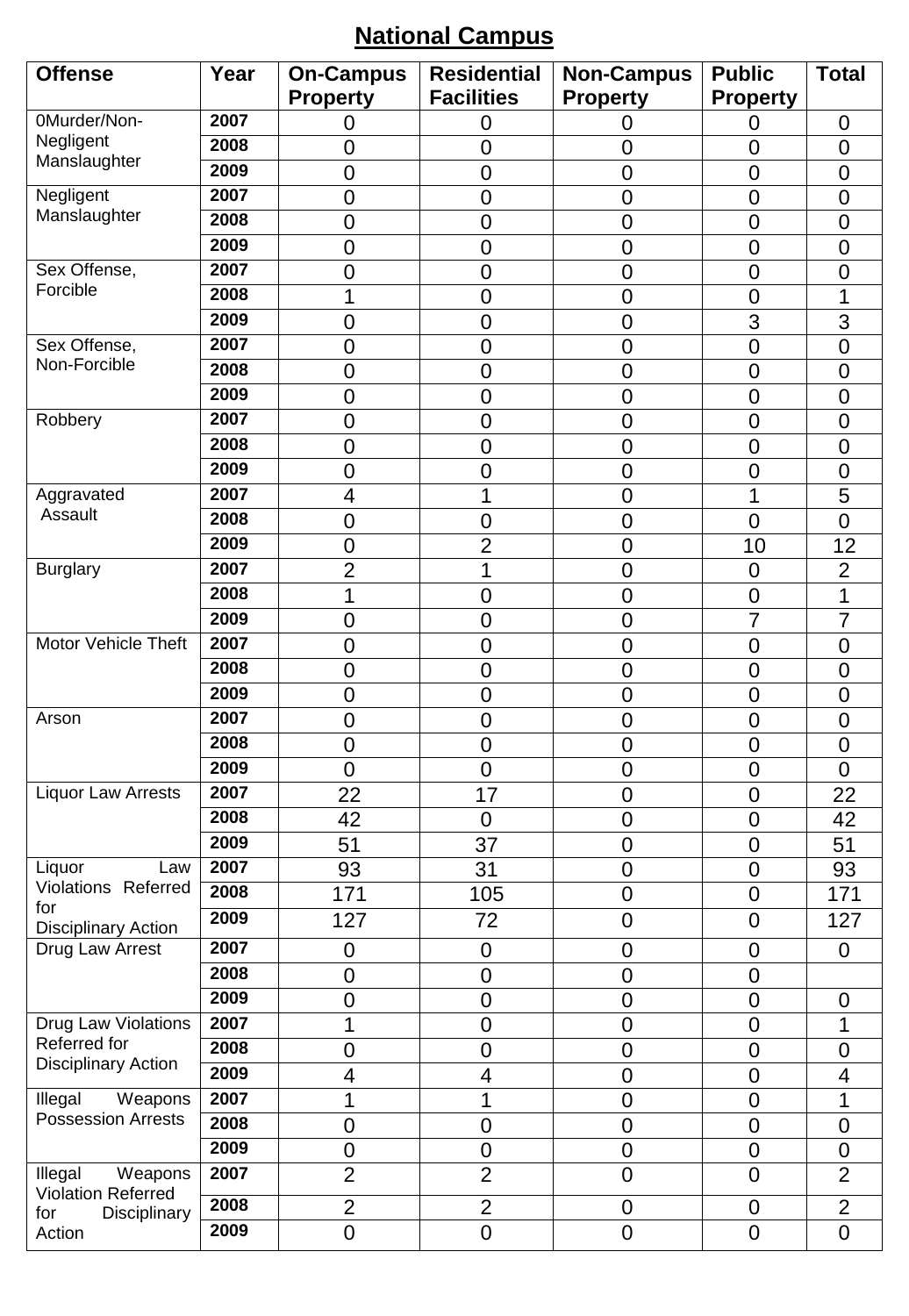# **National Campus**

| <b>Offense</b>                                  | Year | <b>On-Campus</b>         | <b>Residential</b>       | <b>Non-Campus</b> | <b>Public</b>    | <b>Total</b>            |
|-------------------------------------------------|------|--------------------------|--------------------------|-------------------|------------------|-------------------------|
|                                                 |      | <b>Property</b>          | <b>Facilities</b>        | <b>Property</b>   | <b>Property</b>  |                         |
| 0Murder/Non-                                    | 2007 | 0                        | 0                        | 0                 | 0                | $\mathbf 0$             |
| Negligent                                       | 2008 | 0                        | $\mathbf 0$              | $\mathbf 0$       | $\overline{0}$   | $\overline{0}$          |
| Manslaughter                                    | 2009 | $\overline{0}$           | $\overline{0}$           | $\overline{0}$    | $\overline{0}$   | $\overline{0}$          |
| Negligent                                       | 2007 | $\overline{0}$           | $\mathbf 0$              | $\mathbf 0$       | $\overline{0}$   | $\overline{0}$          |
| Manslaughter                                    | 2008 | $\mathbf 0$              | $\overline{0}$           | $\overline{0}$    | $\overline{0}$   | $\overline{0}$          |
|                                                 | 2009 | $\overline{0}$           | $\overline{0}$           | $\overline{0}$    | $\overline{0}$   | $\overline{0}$          |
| Sex Offense,                                    | 2007 | 0                        | $\mathbf 0$              | $\mathbf 0$       | $\mathbf 0$      | $\mathbf 0$             |
| Forcible                                        | 2008 | 1                        | $\mathbf 0$              | $\mathbf 0$       | $\overline{0}$   | 1                       |
|                                                 | 2009 | $\overline{0}$           | $\overline{0}$           | $\overline{0}$    | 3                | 3                       |
| Sex Offense,                                    | 2007 | 0                        | $\mathbf 0$              | $\mathbf 0$       | $\overline{0}$   | $\overline{0}$          |
| Non-Forcible                                    | 2008 | 0                        | $\mathbf 0$              | $\mathbf 0$       | $\mathbf 0$      | 0                       |
|                                                 | 2009 | $\mathbf 0$              | $\overline{0}$           | $\mathbf 0$       | $\mathbf 0$      | $\overline{0}$          |
| Robbery                                         | 2007 | $\mathbf 0$              | $\mathbf 0$              | $\mathbf 0$       | $\mathbf 0$      | $\overline{0}$          |
|                                                 | 2008 | $\overline{0}$           | $\overline{0}$           | $\overline{0}$    | $\overline{0}$   | $\overline{0}$          |
|                                                 | 2009 | 0                        | $\overline{0}$           | $\mathbf 0$       | $\overline{0}$   | $\overline{0}$          |
| Aggravated                                      | 2007 | 4                        | 1                        | $\mathbf 0$       | 1                | 5                       |
| Assault                                         | 2008 | $\mathbf 0$              | $\mathbf 0$              | $\mathbf 0$       | $\overline{0}$   | $\overline{0}$          |
|                                                 | 2009 | $\mathbf 0$              | $\overline{2}$           | $\mathbf 0$       | 10               | 12                      |
| <b>Burglary</b>                                 | 2007 | $\overline{2}$           | 1                        | $\overline{0}$    | $\overline{0}$   | $\overline{2}$          |
|                                                 | 2008 | 1                        | $\mathbf 0$              | $\mathbf 0$       | $\overline{0}$   | 1                       |
|                                                 | 2009 | $\mathbf 0$              | $\mathbf 0$              | $\mathbf 0$       | 7                | $\overline{7}$          |
| Motor Vehicle Theft                             | 2007 | $\overline{0}$           | $\overline{0}$           | $\overline{0}$    | $\overline{0}$   | $\overline{0}$          |
|                                                 | 2008 | $\mathbf 0$              | $\mathbf 0$              | $\mathbf 0$       | $\overline{0}$   | $\mathbf 0$             |
|                                                 | 2009 | $\overline{0}$           | $\overline{0}$           | $\overline{0}$    | $\overline{0}$   | $\overline{0}$          |
| Arson                                           | 2007 | $\overline{0}$           | $\mathbf 0$              | $\mathbf 0$       | $\overline{0}$   | $\overline{0}$          |
|                                                 | 2008 | $\mathbf 0$              | $\mathbf 0$              | $\mathbf 0$       | $\overline{0}$   | $\overline{0}$          |
|                                                 | 2009 | $\overline{0}$           | $\overline{0}$           | $\mathbf 0$       | $\overline{0}$   | $\overline{0}$          |
| <b>Liquor Law Arrests</b>                       | 2007 | 22                       | 17                       | $\mathbf 0$       | $\mathbf 0$      | 22                      |
|                                                 | 2008 | 42                       | $\mathbf 0$              | $\mathbf 0$       | $\mathbf 0$      | 42                      |
|                                                 | 2009 | 51                       | 37                       | $\mathbf 0$       | $\boldsymbol{0}$ | 51                      |
| Liquor<br>Law                                   | 2007 | 93                       | 31                       | $\mathbf 0$       | $\overline{0}$   | 93                      |
| Violations Referred<br>for                      | 2008 | 171                      | 105                      | $\mathbf 0$       | $\mathbf 0$      | 171                     |
| <b>Disciplinary Action</b>                      | 2009 | 127                      | 72                       | $\mathbf 0$       | $\mathbf 0$      | 127                     |
| Drug Law Arrest                                 | 2007 | 0                        | $\boldsymbol{0}$         | $\mathbf 0$       | $\mathbf 0$      | $\boldsymbol{0}$        |
|                                                 | 2008 | $\mathbf 0$              | $\mathbf 0$              | $\mathbf 0$       | $\mathbf 0$      |                         |
|                                                 | 2009 | $\mathbf 0$              | $\mathbf 0$              | $\overline{0}$    | $\mathbf 0$      | $\mathbf 0$             |
| Drug Law Violations                             | 2007 | 1                        | $\mathbf 0$              | $\mathbf 0$       | $\mathbf 0$      | 1                       |
| Referred for                                    | 2008 | $\mathbf 0$              | $\mathbf 0$              | $\mathbf 0$       | $\mathbf 0$      | 0                       |
| Disciplinary Action                             | 2009 | $\overline{\mathcal{A}}$ | $\overline{\mathcal{A}}$ | $\boldsymbol{0}$  | $\mathbf 0$      | $\overline{\mathbf{4}}$ |
| $\overline{W}$ eapons<br>Illegal                | 2007 | 1                        | 1                        | $\mathbf 0$       | $\mathbf 0$      | 1                       |
| <b>Possession Arrests</b>                       | 2008 | $\overline{0}$           | $\overline{0}$           | $\overline{0}$    | $\overline{0}$   | $\mathbf 0$             |
|                                                 | 2009 | $\boldsymbol{0}$         | $\mathbf 0$              | $\pmb{0}$         | $\mathbf 0$      | $\mathbf 0$             |
| Illegal<br>Weapons<br><b>Violation Referred</b> | 2007 | $\overline{2}$           | $\overline{2}$           | $\mathbf 0$       | $\overline{0}$   | $\overline{2}$          |
| Disciplinary<br>for                             | 2008 | $\overline{2}$           | $\overline{2}$           | $\mathbf 0$       | 0                | $\overline{2}$          |
| Action                                          | 2009 | $\overline{0}$           | $\overline{0}$           | $\mathbf 0$       | $\mathbf 0$      | $\overline{0}$          |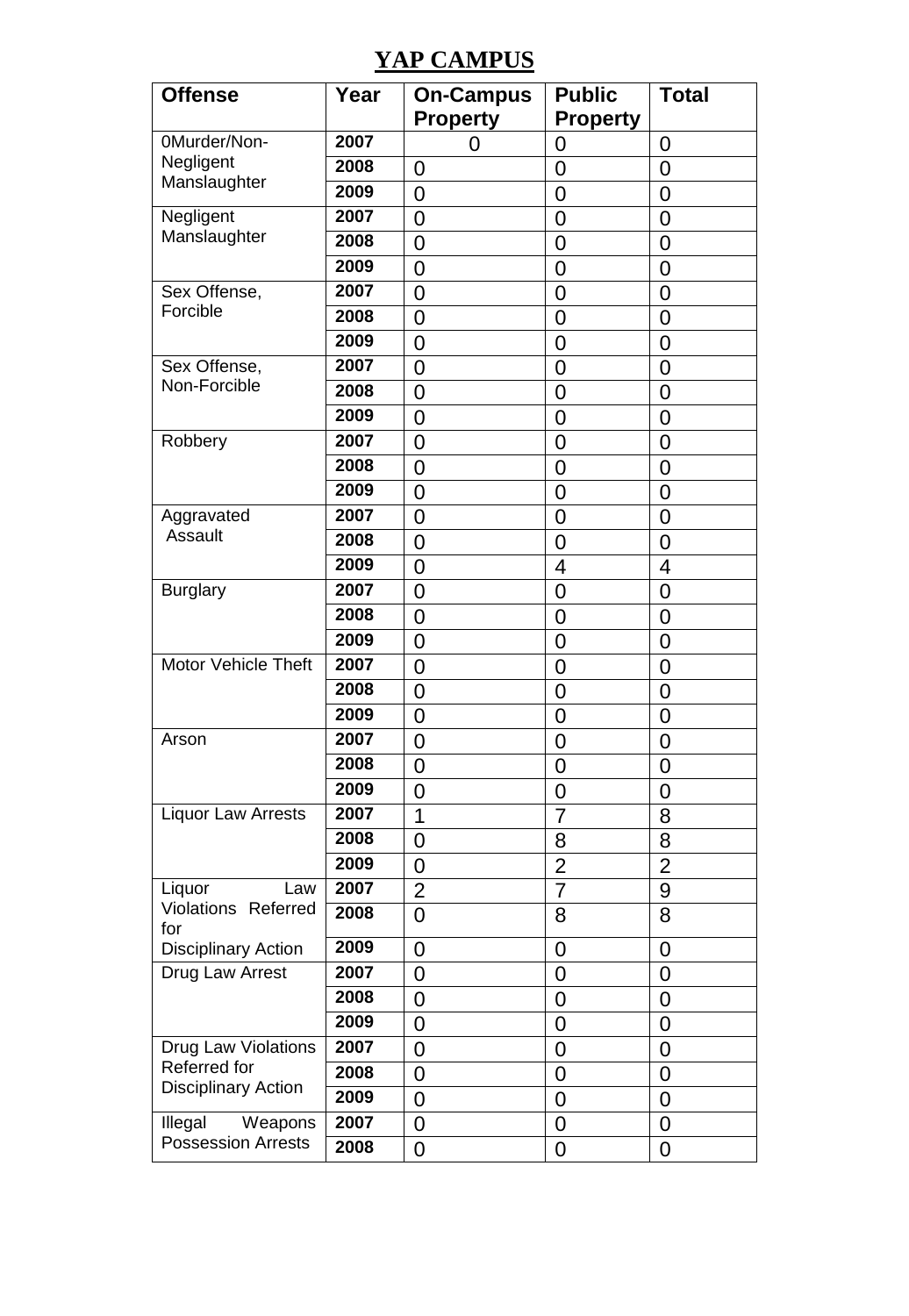### **YAP CAMPUS**

| <b>Offense</b>                             | Year | <b>On-Campus</b> | <b>Public</b>   | Total          |
|--------------------------------------------|------|------------------|-----------------|----------------|
|                                            |      | <b>Property</b>  | <b>Property</b> |                |
| 0Murder/Non-                               | 2007 | 0                | 0               | 0              |
| Negligent                                  | 2008 | 0                | $\overline{0}$  | 0              |
| Manslaughter                               | 2009 | $\overline{0}$   | 0               | 0              |
| Negligent                                  | 2007 | 0                | 0               | 0              |
| Manslaughter                               | 2008 | 0                | 0               | 0              |
|                                            | 2009 | $\overline{0}$   | $\overline{0}$  | 0              |
| Sex Offense,                               | 2007 | 0                | 0               | 0              |
| Forcible                                   | 2008 | 0                | 0               | 0              |
|                                            | 2009 | $\overline{0}$   | $\overline{0}$  | $\overline{0}$ |
| Sex Offense,                               | 2007 | 0                | $\overline{0}$  | 0              |
| Non-Forcible                               | 2008 | $\overline{0}$   | $\overline{0}$  | $\overline{0}$ |
|                                            | 2009 | 0                | 0               | 0              |
| Robbery                                    | 2007 | 0                | $\overline{0}$  | $\overline{0}$ |
|                                            | 2008 | $\overline{0}$   | $\overline{0}$  | $\overline{0}$ |
|                                            | 2009 | $\overline{0}$   | $\overline{0}$  | 0              |
| Aggravated                                 | 2007 | 0                | 0               | 0              |
| Assault                                    | 2008 | 0                | 0               | 0              |
|                                            | 2009 | 0                | 4               | 4              |
| <b>Burglary</b>                            | 2007 | $\overline{0}$   | $\overline{0}$  | $\overline{0}$ |
|                                            | 2008 | 0                | 0               | 0              |
|                                            | 2009 | 0                | 0               | 0              |
| Motor Vehicle Theft                        | 2007 | 0                | 0               | 0              |
|                                            | 2008 | 0                | 0               | 0              |
|                                            | 2009 | $\overline{0}$   | $\overline{0}$  | $\overline{0}$ |
| Arson                                      | 2007 | 0                | 0               | 0              |
|                                            | 2008 | 0                | $\overline{0}$  | 0              |
|                                            | 2009 | $\overline{0}$   | $\overline{0}$  | $\overline{0}$ |
| <b>Liquor Law Arrests</b>                  | 2007 | 1                | $\overline{7}$  | 8              |
|                                            | 2008 | 0                | 8               | 8              |
|                                            | 2009 | $\mathbf 0$      | $\overline{2}$  | $\overline{2}$ |
| Liquor<br>Law                              | 2007 | $\overline{2}$   | 7               | 9              |
| Violations Referred<br>for                 | 2008 | 0                | 8               | 8              |
| <b>Disciplinary Action</b>                 | 2009 | 0                | 0               | 0              |
| Drug Law Arrest                            | 2007 | 0                | 0               | 0              |
|                                            | 2008 | 0                | $\overline{0}$  | 0              |
|                                            | 2009 | 0                | 0               | 0              |
| Drug Law Violations                        | 2007 | 0                | 0               | 0              |
| Referred for<br><b>Disciplinary Action</b> | 2008 | 0                | 0               | $\mathbf 0$    |
|                                            | 2009 | 0                | 0               | 0              |
| $\overline{W}$ eapons<br>Illegal           | 2007 | 0                | $\overline{0}$  | 0              |
| <b>Possession Arrests</b>                  | 2008 | 0                | 0               | 0              |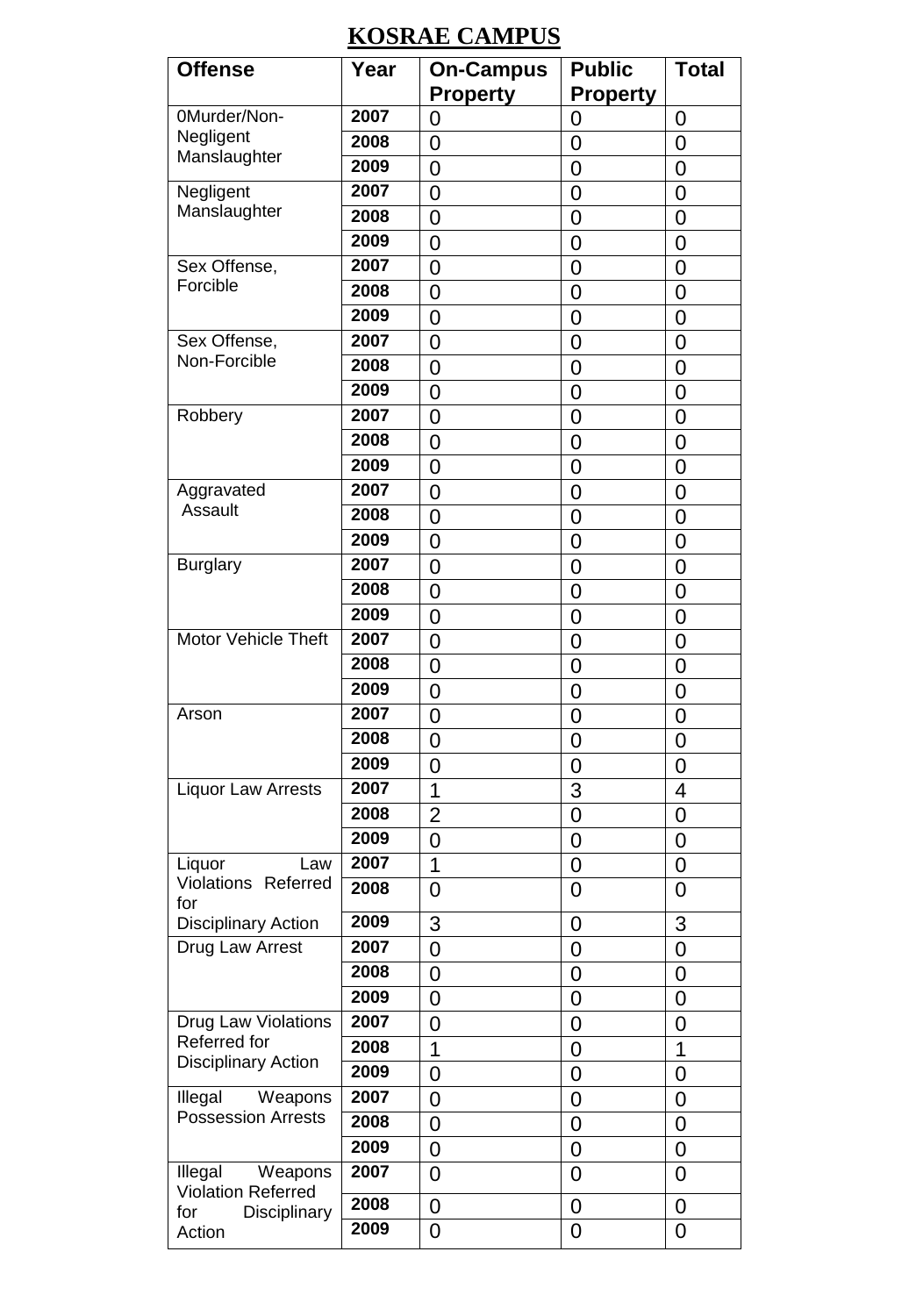## **KOSRAE CAMPUS**

| <b>Offense</b>                                                    | Year | <b>On-Campus</b> | <b>Public</b>   | Total          |
|-------------------------------------------------------------------|------|------------------|-----------------|----------------|
|                                                                   |      | <b>Property</b>  | <b>Property</b> |                |
| 0Murder/Non-                                                      | 2007 | 0                | 0               | 0              |
| Negligent<br>Manslaughter                                         | 2008 | 0                | 0               | 0              |
|                                                                   | 2009 | 0                | 0               | 0              |
| Negligent                                                         | 2007 | $\overline{0}$   | $\overline{0}$  | 0              |
| Manslaughter                                                      | 2008 | 0                | 0               | 0              |
|                                                                   | 2009 | 0                | 0               | 0              |
| Sex Offense,                                                      | 2007 | 0                | 0               | 0              |
| Forcible                                                          | 2008 | 0                | 0               | 0              |
|                                                                   | 2009 | $\overline{0}$   | $\overline{0}$  | $\overline{0}$ |
| Sex Offense,                                                      | 2007 | 0                | 0               | 0              |
| Non-Forcible                                                      | 2008 | 0                | 0               | $\overline{0}$ |
|                                                                   | 2009 | $\overline{0}$   | $\overline{0}$  | $\overline{0}$ |
| Robbery                                                           | 2007 | 0                | 0               | $\overline{0}$ |
|                                                                   | 2008 | 0                | $\overline{0}$  | 0              |
|                                                                   | 2009 | 0                | 0               | $\overline{0}$ |
| Aggravated                                                        | 2007 | 0                | 0               | 0              |
| Assault                                                           | 2008 | $\overline{0}$   | $\overline{0}$  | $\overline{0}$ |
|                                                                   | 2009 | 0                | 0               | 0              |
| <b>Burglary</b>                                                   | 2007 | 0                | 0               | 0              |
|                                                                   | 2008 | 0                | 0               | 0              |
|                                                                   | 2009 | 0                | 0               | 0              |
| Motor Vehicle Theft                                               | 2007 | $\overline{0}$   | $\overline{0}$  | $\overline{0}$ |
|                                                                   | 2008 | 0                | 0               | 0              |
|                                                                   | 2009 | $\overline{0}$   | $\overline{0}$  | $\overline{0}$ |
| Arson                                                             | 2007 | $\overline{0}$   | $\overline{0}$  | $\overline{0}$ |
|                                                                   | 2008 | 0                | 0               | $\overline{0}$ |
|                                                                   | 2009 | 0                | $\overline{0}$  | 0              |
| <b>Liquor Law Arrests</b>                                         | 2007 | 1                | 3               | 4              |
|                                                                   | 2008 | $\overline{2}$   | 0               | 0              |
|                                                                   | 2009 | 0                | $\mathbf 0$     | $\mathbf 0$    |
| Liquor<br>Law                                                     | 2007 | 1                | 0               | 0              |
| Violations Referred<br>for                                        | 2008 | 0                | 0               | 0              |
| <b>Disciplinary Action</b>                                        | 2009 | 3                | $\overline{0}$  | 3              |
| Drug Law Arrest                                                   | 2007 | 0                | 0               | 0              |
|                                                                   | 2008 | 0                | 0               | 0              |
|                                                                   | 2009 | 0                | 0               | 0              |
| Drug Law Violations<br>Referred for<br><b>Disciplinary Action</b> | 2007 | 0                | 0               | 0              |
|                                                                   | 2008 | 1                | $\overline{0}$  | $\overline{1}$ |
|                                                                   | 2009 | 0                | 0               | 0              |
| Illegal<br>Weapons<br><b>Possession Arrests</b>                   | 2007 | 0                | 0               | 0              |
|                                                                   | 2008 | 0                | 0               | 0              |
|                                                                   | 2009 | 0                | 0               | 0              |
| Illegal<br>Weapons<br><b>Violation Referred</b>                   | 2007 | 0                | 0               | 0              |
| for<br>Disciplinary                                               | 2008 | 0                | 0               | 0              |
| Action                                                            | 2009 | 0                | 0               | 0              |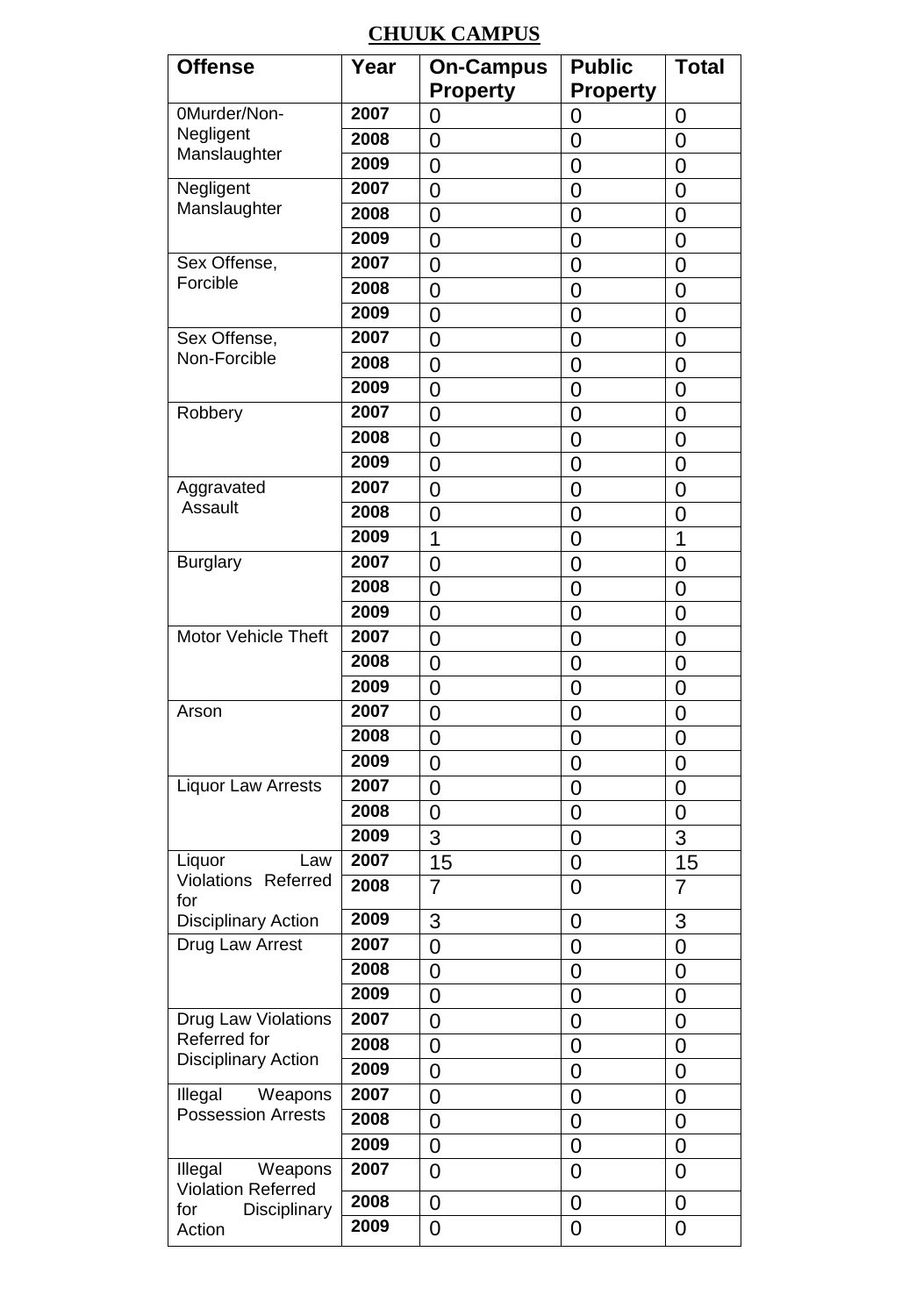#### **CHUUK CAMPUS**

| <b>Offense</b>                                  | Year | <b>On-Campus</b> | <b>Public</b>   | <b>Total</b>   |
|-------------------------------------------------|------|------------------|-----------------|----------------|
|                                                 |      | <b>Property</b>  | <b>Property</b> |                |
| 0Murder/Non-                                    | 2007 | 0                | 0               | 0              |
| Negligent                                       | 2008 | 0                | 0               | 0              |
| Manslaughter                                    | 2009 | 0                | $\overline{0}$  | 0              |
| Negligent                                       | 2007 | 0                | $\overline{0}$  | $\overline{0}$ |
| Manslaughter                                    | 2008 | 0                | $\overline{0}$  | 0              |
|                                                 | 2009 | 0                | 0               | 0              |
| Sex Offense,                                    | 2007 | 0                | 0               | 0              |
| Forcible                                        | 2008 | 0                | $\overline{0}$  | 0              |
|                                                 | 2009 | 0                | $\overline{0}$  | $\overline{0}$ |
| Sex Offense,                                    | 2007 | 0                | 0               | 0              |
| Non-Forcible                                    | 2008 | 0                | 0               | 0              |
|                                                 | 2009 | 0                | 0               | 0              |
| Robbery                                         | 2007 | 0                | 0               | 0              |
|                                                 | 2008 | 0                | $\overline{0}$  | 0              |
|                                                 | 2009 | 0                | 0               | 0              |
| Aggravated                                      | 2007 | 0                | 0               | 0              |
| Assault                                         | 2008 | 0                | $\overline{0}$  | $\overline{0}$ |
|                                                 | 2009 | 1                | 0               | $\overline{1}$ |
| <b>Burglary</b>                                 | 2007 | 0                | 0               | 0              |
|                                                 | 2008 | $\overline{0}$   | $\overline{0}$  | 0              |
|                                                 | 2009 | 0                | $\overline{0}$  | 0              |
| Motor Vehicle Theft                             | 2007 | $\overline{0}$   | $\overline{0}$  | $\overline{0}$ |
|                                                 | 2008 | 0                | 0               | 0              |
|                                                 | 2009 | 0                | 0               | 0              |
| Arson                                           | 2007 | 0                | 0               | 0              |
|                                                 | 2008 | 0                | 0               | 0              |
|                                                 | 2009 | 0                | $\overline{0}$  | $\overline{0}$ |
| Liquor Law Arrests                              | 2007 | 0                | 0               | 0              |
|                                                 | 2008 | 0                | 0               | 0              |
|                                                 | 2009 | $\overline{3}$   | $\mathbf 0$     | $\overline{3}$ |
| Liquor<br>Law                                   | 2007 | 15               | 0               | 15             |
| Violations Referred<br>for                      | 2008 | 7                | 0               | 7              |
| <b>Disciplinary Action</b>                      | 2009 | 3                | $\overline{0}$  | 3              |
| Drug Law Arrest                                 | 2007 | 0                | 0               | $\overline{0}$ |
|                                                 | 2008 | 0                | 0               | 0              |
|                                                 | 2009 | 0                | $\overline{0}$  | 0              |
| Drug Law Violations                             | 2007 | 0                | 0               | 0              |
| Referred for<br><b>Disciplinary Action</b>      | 2008 | 0                | $\overline{0}$  | $\overline{0}$ |
|                                                 | 2009 | 0                | 0               | 0              |
| Illegal<br>Weapons                              | 2007 | 0                | 0               | 0              |
| <b>Possession Arrests</b>                       | 2008 | 0                | $\overline{0}$  | 0              |
|                                                 | 2009 | 0                | $\overline{0}$  | $\mathbf 0$    |
| Weapons<br>Illegal<br><b>Violation Referred</b> | 2007 | 0                | $\overline{0}$  | $\overline{0}$ |
| for<br>Disciplinary                             | 2008 | $\overline{0}$   | $\overline{0}$  | $\mathbf 0$    |
| Action                                          | 2009 | 0                | $\overline{0}$  | 0              |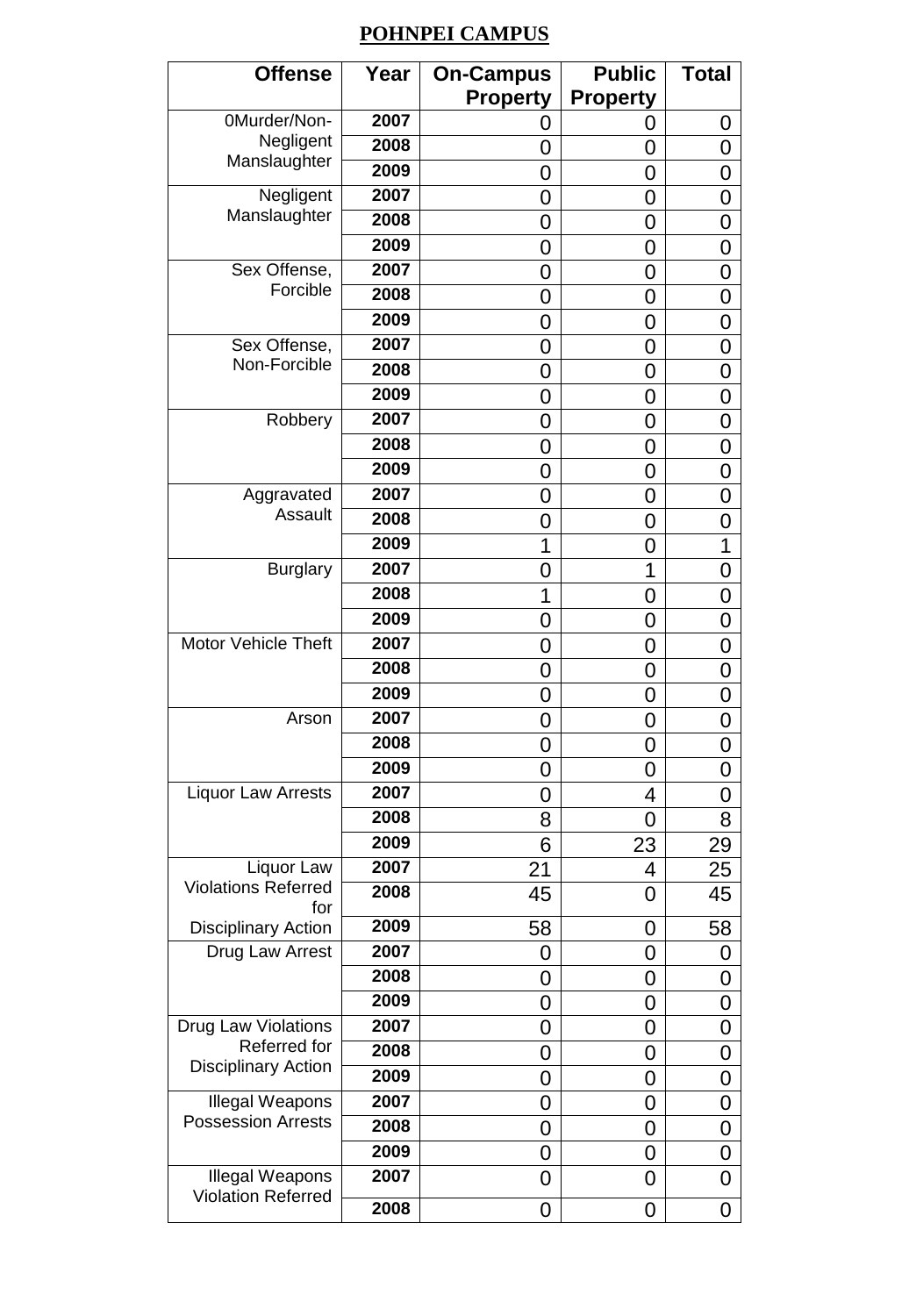#### **POHNPEI CAMPUS**

| <b>Offense</b>                    | Year | <b>On-Campus</b> | <b>Public</b>   | <b>Total</b> |
|-----------------------------------|------|------------------|-----------------|--------------|
|                                   |      | <b>Property</b>  | <b>Property</b> |              |
| 0Murder/Non-                      | 2007 | O                | 0               | 0            |
| Negligent                         | 2008 | 0                | 0               | 0            |
| Manslaughter                      | 2009 | 0                | 0               | 0            |
| Negligent                         | 2007 | 0                | 0               | 0            |
| Manslaughter                      | 2008 | 0                | 0               | 0            |
|                                   | 2009 | 0                | 0               | 0            |
| Sex Offense,                      | 2007 | 0                | 0               | 0            |
| Forcible                          | 2008 | 0                | 0               | 0            |
|                                   | 2009 | 0                | 0               | 0            |
| Sex Offense,                      | 2007 | 0                | 0               | 0            |
| Non-Forcible                      | 2008 | 0                | 0               | 0            |
|                                   | 2009 | 0                | 0               | 0            |
| Robbery                           | 2007 | 0                | 0               | 0            |
|                                   | 2008 | 0                | 0               | 0            |
|                                   | 2009 | 0                | 0               | 0            |
| Aggravated                        | 2007 | 0                | 0               | 0            |
| Assault                           | 2008 | 0                | 0               | 0            |
|                                   | 2009 | 1                | 0               | 1            |
| <b>Burglary</b>                   | 2007 | 0                | 1               | 0            |
|                                   | 2008 | 1                | 0               | 0            |
|                                   | 2009 | 0                | 0               | 0            |
| Motor Vehicle Theft               | 2007 | 0                | 0               | 0            |
|                                   | 2008 | 0                | 0               | 0            |
|                                   | 2009 | 0                | 0               | 0            |
| Arson                             | 2007 | 0                | 0               | 0            |
|                                   | 2008 | 0                | 0               | 0            |
|                                   | 2009 | 0                | 0               | 0            |
| <b>Liquor Law Arrests</b>         | 2007 | 0                | 4               | 0            |
|                                   | 2008 | 8                | 0               | 8            |
|                                   | 2009 | 6                | 23              | 29           |
| Liquor Law                        | 2007 | 21               | 4               | 25           |
| <b>Violations Referred</b><br>for | 2008 | 45               | 0               | 45           |
| <b>Disciplinary Action</b>        | 2009 | 58               | 0               | 58           |
| Drug Law Arrest                   | 2007 | 0                | 0               | 0            |
|                                   | 2008 | 0                | 0               | 0            |
|                                   | 2009 | 0                | 0               | 0            |
| Drug Law Violations               | 2007 | 0                | 0               | 0            |
| Referred for                      | 2008 | 0                | 0               | 0            |
| <b>Disciplinary Action</b>        | 2009 | 0                | 0               | 0            |
| Illegal Weapons                   | 2007 | 0                | 0               | 0            |
| <b>Possession Arrests</b>         | 2008 | 0                | 0               | 0            |
|                                   | 2009 | 0                | 0               | 0            |
| Illegal Weapons                   | 2007 | 0                | 0               | 0            |
| <b>Violation Referred</b>         | 2008 | 0                | 0               | 0            |
|                                   |      |                  |                 |              |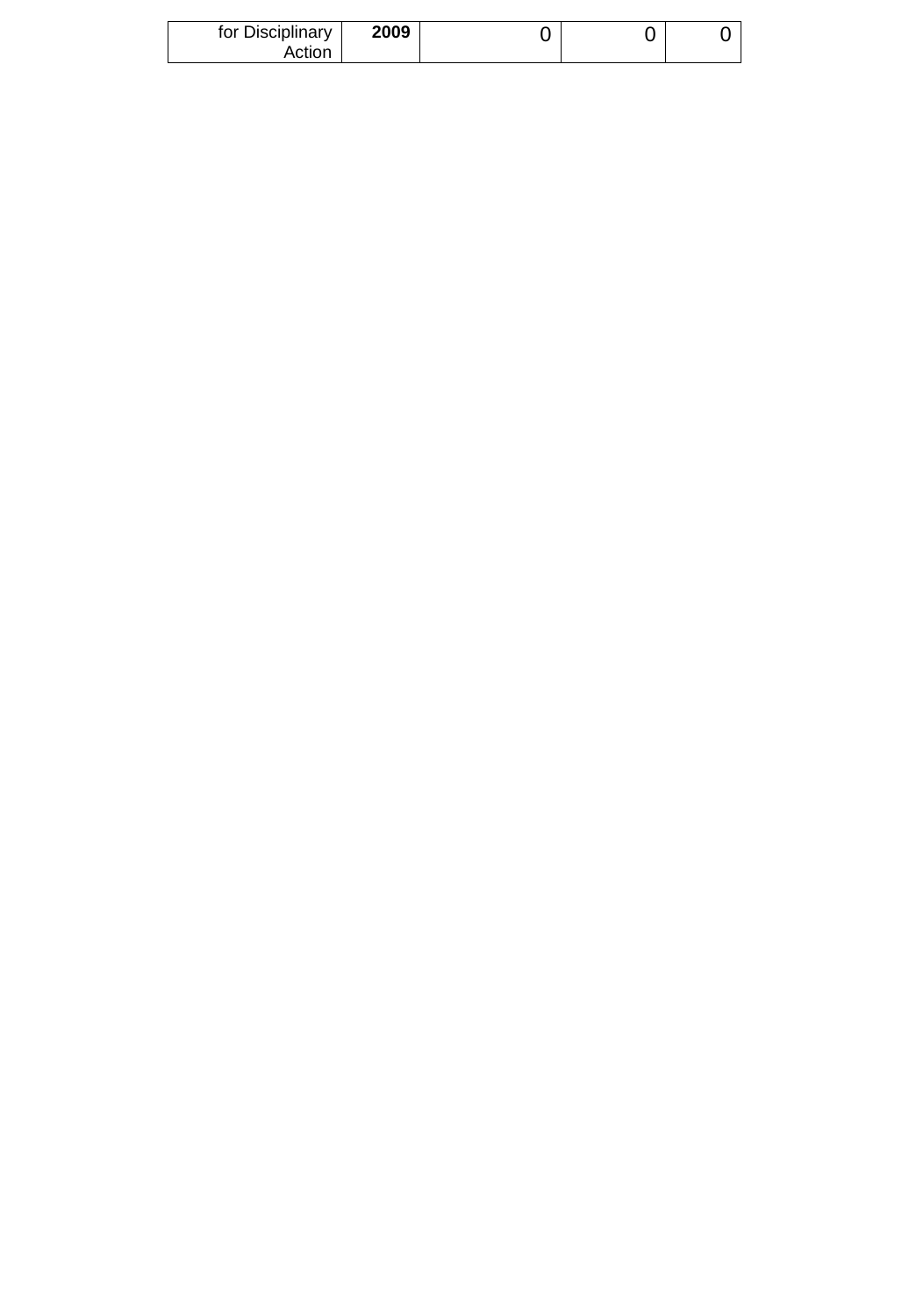| for Disciplinary | 2009 |  |  |
|------------------|------|--|--|
| Action           |      |  |  |